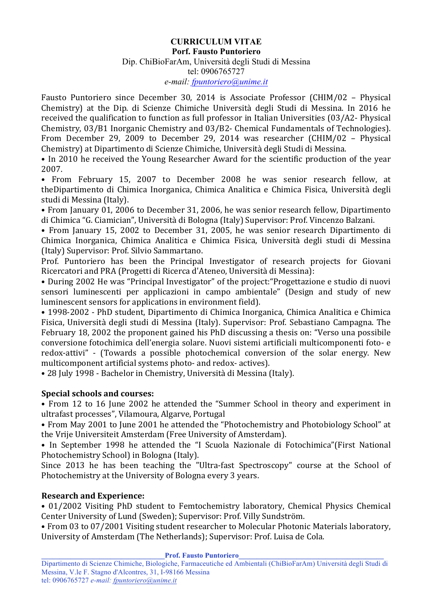## **CURRICULUM VITAE Porf. Fausto Puntoriero** Dip. ChiBioFarAm, Università degli Studi di Messina tel: 0906765727 *e-mail: fpuntoriero@unime.it*

Fausto Puntoriero since December 30, 2014 is Associate Professor (CHIM/02 - Physical Chemistry) at the Dip. di Scienze Chimiche Università degli Studi di Messina. In 2016 he received the qualification to function as full professor in Italian Universities  $(03/A2$ - Physical Chemistry, 03/B1 Inorganic Chemistry and 03/B2- Chemical Fundamentals of Technologies). From December 29, 2009 to December 29, 2014 was researcher (CHIM/02 - Physical Chemistry) at Dipartimento di Scienze Chimiche, Università degli Studi di Messina.

• In 2010 he received the Young Researcher Award for the scientific production of the year 2007.

• From February 15, 2007 to December 2008 he was senior research fellow, at theDipartimento di Chimica Inorganica, Chimica Analitica e Chimica Fisica, Università degli studi di Messina (Italy).

• From January 01, 2006 to December 31, 2006, he was senior research fellow, Dipartimento di Chimica "G. Ciamician", Università di Bologna (Italy) Supervisor: Prof. Vincenzo Balzani.

• From January 15, 2002 to December 31, 2005, he was senior research Dipartimento di Chimica Inorganica, Chimica Analitica e Chimica Fisica, Università degli studi di Messina (Italy) Supervisor: Prof. Silvio Sammartano. 

Prof. Puntoriero has been the Principal Investigator of research projects for Giovani Ricercatori and PRA (Progetti di Ricerca d'Ateneo, Università di Messina):

• During 2002 He was "Principal Investigator" of the project: "Progettazione e studio di nuovi sensori luminescenti per applicazioni in campo ambientale" (Design and study of new luminescent sensors for applications in environment field).

• 1998-2002 - PhD student, Dipartimento di Chimica Inorganica, Chimica Analitica e Chimica Fisica, Università degli studi di Messina (Italy). Supervisor: Prof. Sebastiano Campagna. The February 18, 2002 the proponent gained his PhD discussing a thesis on: "Verso una possibile conversione fotochimica dell'energia solare. Nuovi sistemi artificiali multicomponenti foto- e redox-attivi" - (Towards a possible photochemical conversion of the solar energy. New multicomponent artificial systems photo- and redox- actives).

• 28 July 1998 - Bachelor in Chemistry, Università di Messina (Italy).

## **Special schools and courses:**

• From 12 to 16 June 2002 he attended the "Summer School in theory and experiment in ultrafast processes", Vilamoura, Algarve, Portugal

• From May 2001 to June 2001 he attended the "Photochemistry and Photobiology School" at the Vrije Universiteit Amsterdam (Free University of Amsterdam).

• In September 1998 he attended the "I Scuola Nazionale di Fotochimica"(First National Photochemistry School) in Bologna (Italy).

Since 2013 he has been teaching the "Ultra-fast Spectroscopy" course at the School of Photochemistry at the University of Bologna every 3 years.

## **Research and Experience:**

• 01/2002 Visiting PhD student to Femtochemistry laboratory, Chemical Physics Chemical Center University of Lund (Sweden); Supervisor: Prof. Villy Sundström.

• From 03 to 07/2001 Visiting student researcher to Molecular Photonic Materials laboratory, University of Amsterdam (The Netherlands); Supervisor: Prof. Luisa de Cola.

**Prof. Fausto Puntoriero**